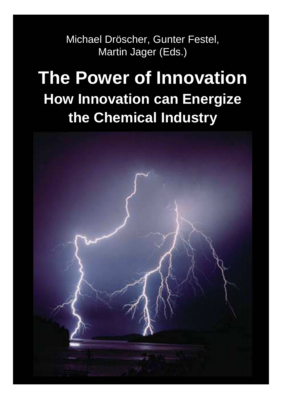Michael Dröscher, Gunter Festel, Martin Jager (Eds.)

# **The Power of Innovation How Innovation can Energize the Chemical Industry**

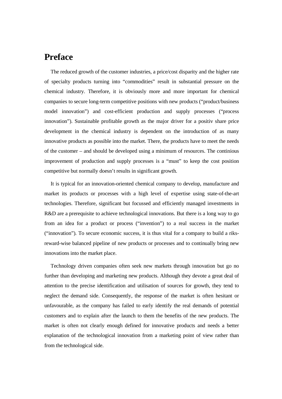#### **Preface**

The reduced growth of the customer industries, a price/cost disparity and the higher rate of specialty products turning into "commodities" result in substantial pressure on the chemical industry. Therefore, it is obviously more and more important for chemical companies to secure long-term competitive positions with new products ("product/business model innovation") and cost-efficient production and supply processes ("process innovation"). Sustainable profitable growth as the major driver for a positiv share price development in the chemical industry is dependent on the introduction of as many innovative products as possible into the market. There, the products have to meet the needs of the customer – and should be developed using a minimum of resources. The continious improvement of production and supply processes is a "must" to keep the cost position competitive but normally doesn't results in significant growth.

It is typical for an innovation-oriented chemical company to develop, manufacture and market its products or processes with a high level of expertise using state-of-the-art technologies. Therefore, significant but focussed and efficiently managed investments in R&D are a prerequisite to achieve technological innovations. But there is a long way to go from an idea for a product or process ("invention") to a real success in the market ("innovation"). To secure economic success, it is thus vital for a company to build a riksreward-wise balanced pipeline of new products or processes and to continually bring new innovations into the market place.

Technology driven companies often seek new markets through innovation but go no further than developing and marketing new products. Although they devote a great deal of attention to the precise identification and utilisation of sources for growth, they tend to neglect the demand side. Consequently, the response of the market is often hesitant or unfavourable, as the company has failed to early identify the real demands of potential customers and to explain after the launch to them the benefits of the new products. The market is often not clearly enough defined for innovative products and needs a better explanation of the technological innovation from a marketing point of view rather than from the technological side.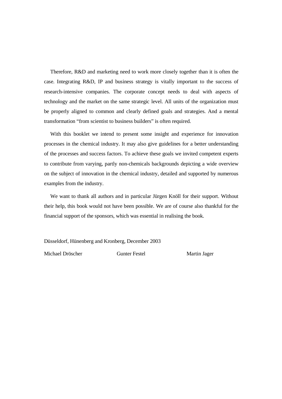Therefore, R&D and marketing need to work more closely together than it is often the case. Integrating R&D, IP and business strategy is vitally important to the success of research-intensive companies. The corporate concept needs to deal with aspects of technology and the market on the same strategic level. All units of the organization must be properly aligned to common and clearly defined goals and strategies. And a mental transformation "from scientist to business builders" is often required.

With this booklet we intend to present some insight and experience for innovation processes in the chemical industry. It may also give guidelines for a better understanding of the processes and success factors. To achieve these goals we invited competent experts to contribute from varying, partly non-chemicals backgrounds depicting a wide overview on the subject of innovation in the chemical industry, detailed and supported by numerous examples from the industry.

We want to thank all authors and in particular Jürgen Knöll for their support. Without their help, this book would not have been possible. We are of course also thankful for the financial support of the sponsors, which was essential in realising the book.

Düsseldorf, Hünenberg and Kronberg, December 2003

Michael Dröscher Gunter Festel Martin Jager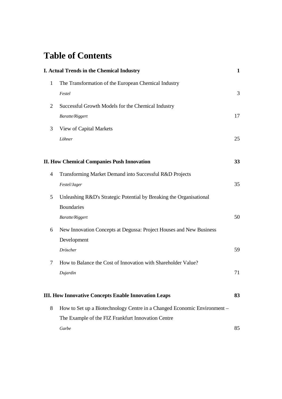# **Table of Contents**

|              | <b>I. Actual Trends in the Chemical Industry</b>                         |    |  |
|--------------|--------------------------------------------------------------------------|----|--|
| $\mathbf{1}$ | The Transformation of the European Chemical Industry                     |    |  |
|              | Festel                                                                   | 3  |  |
| 2            | Successful Growth Models for the Chemical Industry                       |    |  |
|              | <b>Baratte/Riggert</b>                                                   | 17 |  |
| 3            | View of Capital Markets                                                  |    |  |
|              | Löhner                                                                   | 25 |  |
|              | <b>II. How Chemical Companies Push Innovation</b>                        | 33 |  |
| 4            | Transforming Market Demand into Successful R&D Projects                  |    |  |
|              | Festel/Jager                                                             | 35 |  |
| 5            | Unleashing R&D's Strategic Potential by Breaking the Organisational      |    |  |
|              | <b>Boundaries</b>                                                        |    |  |
|              | <b>Baratte/Riggert</b>                                                   | 50 |  |
| 6            | New Innovation Concepts at Degussa: Project Houses and New Business      |    |  |
|              | Development                                                              |    |  |
|              | Dröscher                                                                 | 59 |  |
| 7            | How to Balance the Cost of Innovation with Shareholder Value?            |    |  |
|              | Dujardin                                                                 | 71 |  |
|              | <b>III. How Innovative Concepts Enable Innovation Leaps</b>              | 83 |  |
| 8            | How to Set up a Biotechnology Centre in a Changed Economic Environment – |    |  |
|              | The Example of the FIZ Frankfurt Innovation Centre                       |    |  |
|              | Garbe                                                                    | 85 |  |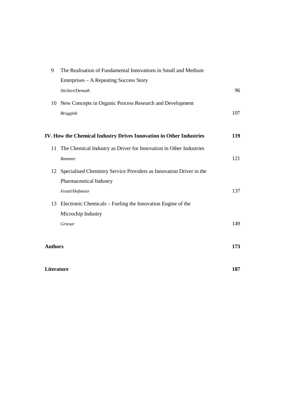| 9              | The Realisation of Fundamental Innovations in Small and Medium         |     |
|----------------|------------------------------------------------------------------------|-----|
|                | Enterprises – A Repeating Success Story                                |     |
|                | Stichert/Demuth                                                        | 96  |
|                | 10 New Concepts in Organic Process Research and Development            |     |
|                | <b>Bruggink</b>                                                        | 107 |
|                |                                                                        |     |
|                | IV. How the Chemical Industry Drives Innovation in Other Industries    | 119 |
| 11             | The Chemical Industry as Driver for Innovation in Other Industries     |     |
|                | Rammer                                                                 | 121 |
|                | 12 Specialised Chemistry Service Providers as Innovation Driver in the |     |
|                | Pharmaceutical Industry                                                |     |
|                | Festel/Hofmeier                                                        | 137 |
| 13             | Electronic Chemicals – Fueling the Innovation Engine of the            |     |
|                | Microchip Industry                                                     |     |
|                | Griesar                                                                | 149 |
|                |                                                                        |     |
| <b>Authors</b> |                                                                        | 173 |
| Literature     |                                                                        | 187 |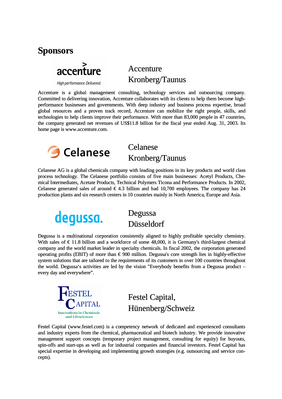



High performance. Delivered.

## Accenture Kronberg/Taunus

Accenture is a global management consulting, technology services and outsourcing company. Committed to delivering innovation, Accenture collaborates with its clients to help them become highperformance businesses and governments. With deep industry and business process expertise, broad global resources and a proven track record, Accenture can mobilize the right people, skills, and technologies to help clients improve their performance. With more than 83,000 people in 47 countries, the company generated net revenues of US\$11.8 billion for the fiscal year ended Aug. 31, 2003. Its home page is www.accenture.com.



### Celanese Kronberg/Taunus

Celanese AG is a global chemicals company with leading positions in its key products and world class process technology. The Celanese portfolio consists of five main businesses: Acetyl Products, Chemical Intermediates, Acetate Products, Technical Polymers Ticona and Performance Products. In 2002, Celanese generated sales of around  $\epsilon$  4.3 billion and had 10,700 employees. The company has 24 production plants and six research centers in 10 countries mainly in North America, Europe and Asia.



#### Degussa Düsseldorf

Degussa is a multinational corporation consistently aligned to highly profitable specialty chemistry. With sales of  $\epsilon$  11.8 billion and a workforce of some 48,000, it is Germany's third-largest chemical company and the world market leader in specialty chemicals. In fiscal 2002, the corporation generated operating profits (EBIT) of more than  $\epsilon$  900 million. Degussa's core strength lies in highly-effective system solutions that are tailored to the requirements of its customers in over 100 countries throughout the world. Degussa's activities are led by the vision "Everybody benefits from a Degussa product – every day and everywhere".



Festel Capital, Hünenberg/Schweiz

Festel Capital (www.festel.com) is a competency network of dedicated and experienced consultants and industry experts from the chemical, pharmaceutical and biotech industry. We provide innovative management support concepts (temporary project management, consulting for equity) for buyouts, spin-offs and start-ups as well as for industrial companies and financial investors. Festel Capital has special expertise in developing and implementing growth strategies (e.g. outsourcing and service concepts).